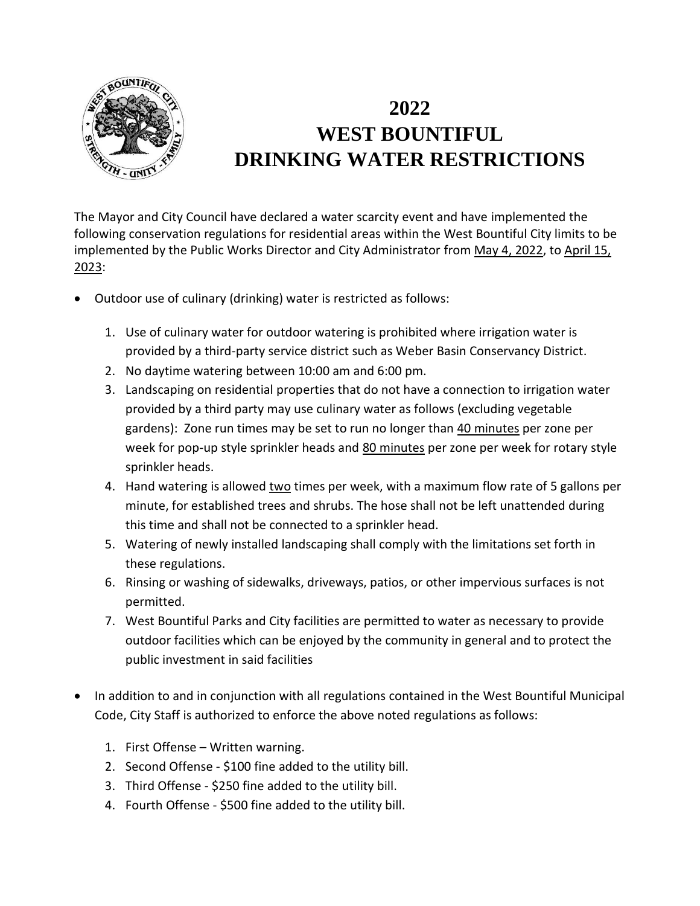

## **2022 WEST BOUNTIFUL DRINKING WATER RESTRICTIONS**

The Mayor and City Council have declared a water scarcity event and have implemented the following conservation regulations for residential areas within the West Bountiful City limits to be implemented by the Public Works Director and City Administrator from May 4, 2022, to April 15, 2023:

- Outdoor use of culinary (drinking) water is restricted as follows:
	- 1. Use of culinary water for outdoor watering is prohibited where irrigation water is provided by a third-party service district such as Weber Basin Conservancy District.
	- 2. No daytime watering between 10:00 am and 6:00 pm.
	- 3. Landscaping on residential properties that do not have a connection to irrigation water provided by a third party may use culinary water as follows (excluding vegetable gardens): Zone run times may be set to run no longer than 40 minutes per zone per week for pop-up style sprinkler heads and 80 minutes per zone per week for rotary style sprinkler heads.
	- 4. Hand watering is allowed two times per week, with a maximum flow rate of 5 gallons per minute, for established trees and shrubs. The hose shall not be left unattended during this time and shall not be connected to a sprinkler head.
	- 5. Watering of newly installed landscaping shall comply with the limitations set forth in these regulations.
	- 6. Rinsing or washing of sidewalks, driveways, patios, or other impervious surfaces is not permitted.
	- 7. West Bountiful Parks and City facilities are permitted to water as necessary to provide outdoor facilities which can be enjoyed by the community in general and to protect the public investment in said facilities
- In addition to and in conjunction with all regulations contained in the West Bountiful Municipal Code, City Staff is authorized to enforce the above noted regulations as follows:
	- 1. First Offense Written warning.
	- 2. Second Offense \$100 fine added to the utility bill.
	- 3. Third Offense \$250 fine added to the utility bill.
	- 4. Fourth Offense \$500 fine added to the utility bill.